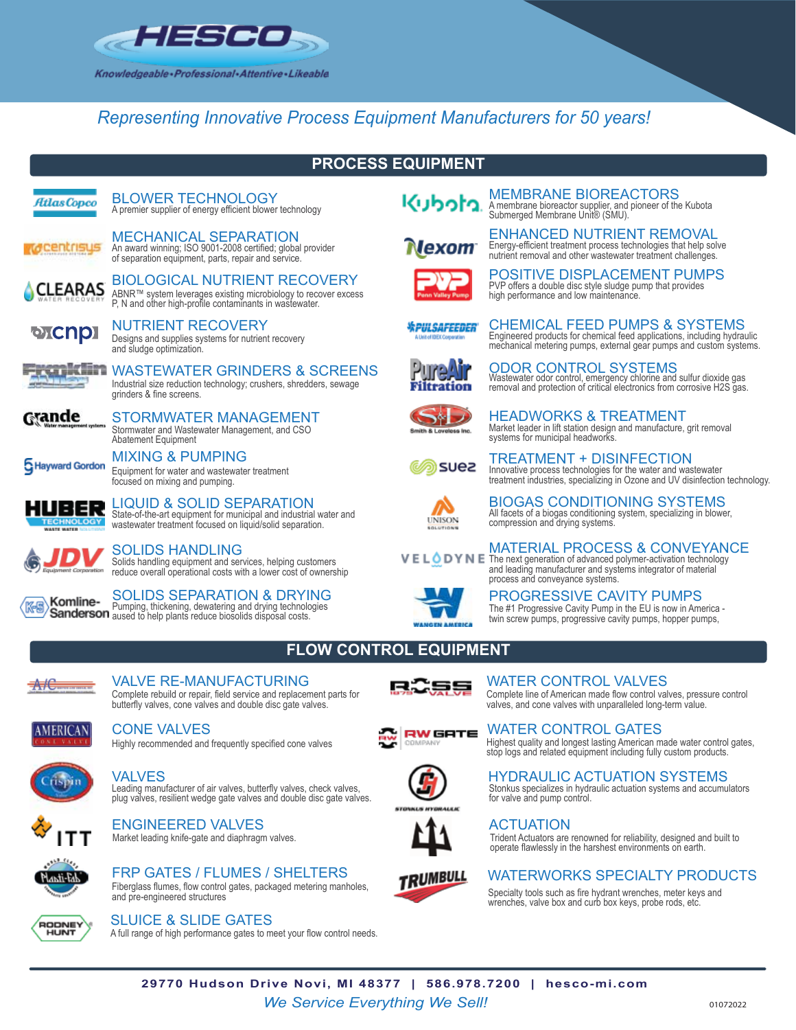

## *Representing Innovative Process Equipment Manufacturers for 50 years!*

## **PROCESS EQUIPMENT**

| Atlas Copco                  | <b>BLOWER TECHNOLOGY</b><br>A premier supplier of energy efficient blower technology                                                                                  |
|------------------------------|-----------------------------------------------------------------------------------------------------------------------------------------------------------------------|
|                              | <b>MECHANICAL SEPARATION</b><br>An award winning; ISO 9001-2008 certified; global provider<br>of separation equipment, parts, repair and service.                     |
|                              | <b>BIOLOGICAL NUTRIENT RECOVERY</b><br>ABNR™ system leverages existing microbiology to recover excess<br>P. N and other high-profile contaminants in wastewater.      |
| <b>oxcnp</b>                 | NUTRIENT RECOVERY<br>Designs and supplies systems for nutrient recovery<br>and sludge optimization.                                                                   |
|                              | WASTEWATER GRINDERS & SCREENS<br>Industrial size reduction technology; crushers, shredders, sewage<br>grinders & fine screens.                                        |
| Valer mamagement systems     | <b>STORMWATER MANAGEMENT</b><br>Stormwater and Wastewater Management, and CSO<br>Abatement Equipment                                                                  |
| Hayward Gordon               | <b>MIXING &amp; PUMPING</b><br>Equipment for water and wastewater treatment<br>focused on mixing and pumping.                                                         |
| <b>MARTE MATER</b>           | <b>LIQUID &amp; SOLID SEPARATION</b><br>State-of-the-art equipment for municipal and industrial water and<br>wastewater treatment focused on liquid/solid separation. |
| <b>Equipment Corporation</b> | SOLIDS HANDLING<br>Solids handling equipment and services, helping customers<br>reduce overall operational costs with a lower cost of ownership                       |

SOLIDS SEPARATION & DRYING

Pumping, thickening, dewatering and drying technologies aused to help plants reduce biosolids disposal costs.



# PROGRESSIVE CAVITY PUMPS

## **FLOW CONTROL EQUIPMENT**



Complete rebuild or repair, field service and replacement parts for butterfly valves, cone valves and double disc gate valves. VALVE RE-MANUFACTURING **REDUCES** WATER CONTROL VALVES



### CONE VALVES

Highly recommended and frequently specified cone valves



Leading manufacturer of air valves, butterfly valves, check valves, plug valves, resilient wedge gate valves and double disc gate valves.







Fiberglass flumes, flow control gates, packaged metering manholes, and pre-engineered structures









## WATERWORKS SPECIALTY PRODUCTS

Specialty tools such as fire hydrant wrenches, meter keys and wrenches, valve box and curb box keys, probe rods, etc.



A full range of high performance gates to meet your flow control needs. SLUICE & SLIDE GATES

Market leading knife-gate and diaphragm valves.

ENGINEERED VALVES

*We Service Everything We Sell!* <sup>01072022</sup> **29770 Hudson Drive Novi, MI 48377 | 586.978.7200 | hesco-mi.com**









Energy-efficient treatment process technologies that help solve nutrient removal and other wastewater treatment challenges. ENHANCED NUTRIENT REMOVAL



PVP offers a double disc style sludge pump that provides high performance and low maintenance. POSITIVE DISPLACEMENT PUMPS

Engineered products for chemical feed applications, including hydraulic mechanical metering pumps, external gear pumps and custom systems.

CHEMICAL FEED PUMPS & SYSTEMS

*WPULSAFEEDER* 



Wastewater odor control, emergency chlorine and sulfur dioxide gas removal and protection of critical electronics from corrosive H2S gas. ODOR CONTROL SYSTEMS

HEADWORKS & TREATMENT



Market leader in lift station design and manufacture, grit removal

systems for municipal headworks. TREATMENT + DISINFECTION

Innovative process technologies for the water and wastewater treatment industries, specializing in Ozone and UV disinfection technology.

All facets of a biogas conditioning system, specializing in blower, compression and drying systems. BIOGAS CONDITIONING SYSTEMS

**TINISON** 

VELODYNE The next generation of advanced polymer-activation technology MATERIAL PROCESS & CONVEYANCE

and leading manufacturer and systems integrator of material process and conveyance systems.

The #1 Progressive Cavity Pump in the EU is now in America twin screw pumps, progressive cavity pumps, hopper pumps,

#### Complete line of American made flow control valves, pressure control valves, and cone valves with unparalleled long-term value.

Highest quality and longest lasting American made water control gates, stop logs and related equipment including fully custom products. WATER CONTROL GATES

Stonkus specializes in hydraulic actuation systems and accumulators for valve and pump control. VALVES FOR THE SERVICE OF THE SERVICE OF THE HYDRAULIC ACTUATION SYSTEMS

### **ACTUATION**